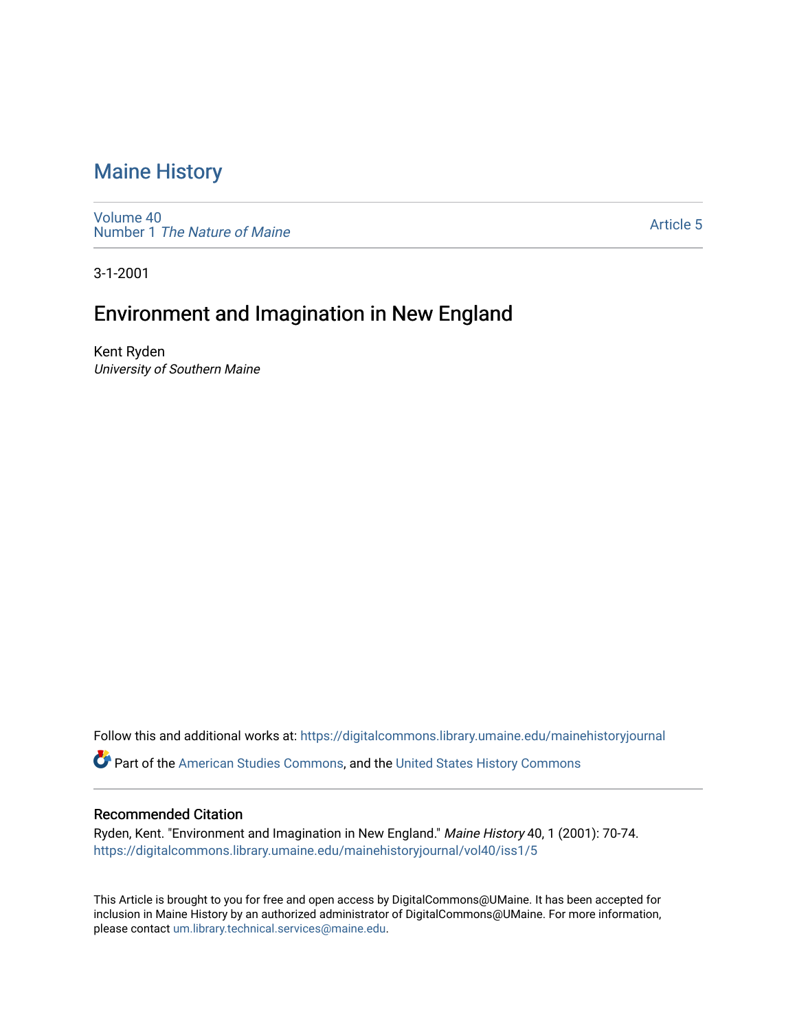### [Maine History](https://digitalcommons.library.umaine.edu/mainehistoryjournal)

[Volume 40](https://digitalcommons.library.umaine.edu/mainehistoryjournal/vol40) Number 1 [The Nature of Maine](https://digitalcommons.library.umaine.edu/mainehistoryjournal/vol40/iss1) 

[Article 5](https://digitalcommons.library.umaine.edu/mainehistoryjournal/vol40/iss1/5) 

3-1-2001

## Environment and Imagination in New England

Kent Ryden University of Southern Maine

Follow this and additional works at: [https://digitalcommons.library.umaine.edu/mainehistoryjournal](https://digitalcommons.library.umaine.edu/mainehistoryjournal?utm_source=digitalcommons.library.umaine.edu%2Fmainehistoryjournal%2Fvol40%2Fiss1%2F5&utm_medium=PDF&utm_campaign=PDFCoverPages) 

Part of the [American Studies Commons](http://network.bepress.com/hgg/discipline/439?utm_source=digitalcommons.library.umaine.edu%2Fmainehistoryjournal%2Fvol40%2Fiss1%2F5&utm_medium=PDF&utm_campaign=PDFCoverPages), and the [United States History Commons](http://network.bepress.com/hgg/discipline/495?utm_source=digitalcommons.library.umaine.edu%2Fmainehistoryjournal%2Fvol40%2Fiss1%2F5&utm_medium=PDF&utm_campaign=PDFCoverPages) 

#### Recommended Citation

Ryden, Kent. "Environment and Imagination in New England." Maine History 40, 1 (2001): 70-74. [https://digitalcommons.library.umaine.edu/mainehistoryjournal/vol40/iss1/5](https://digitalcommons.library.umaine.edu/mainehistoryjournal/vol40/iss1/5?utm_source=digitalcommons.library.umaine.edu%2Fmainehistoryjournal%2Fvol40%2Fiss1%2F5&utm_medium=PDF&utm_campaign=PDFCoverPages)

This Article is brought to you for free and open access by DigitalCommons@UMaine. It has been accepted for inclusion in Maine History by an authorized administrator of DigitalCommons@UMaine. For more information, please contact [um.library.technical.services@maine.edu.](mailto:um.library.technical.services@maine.edu)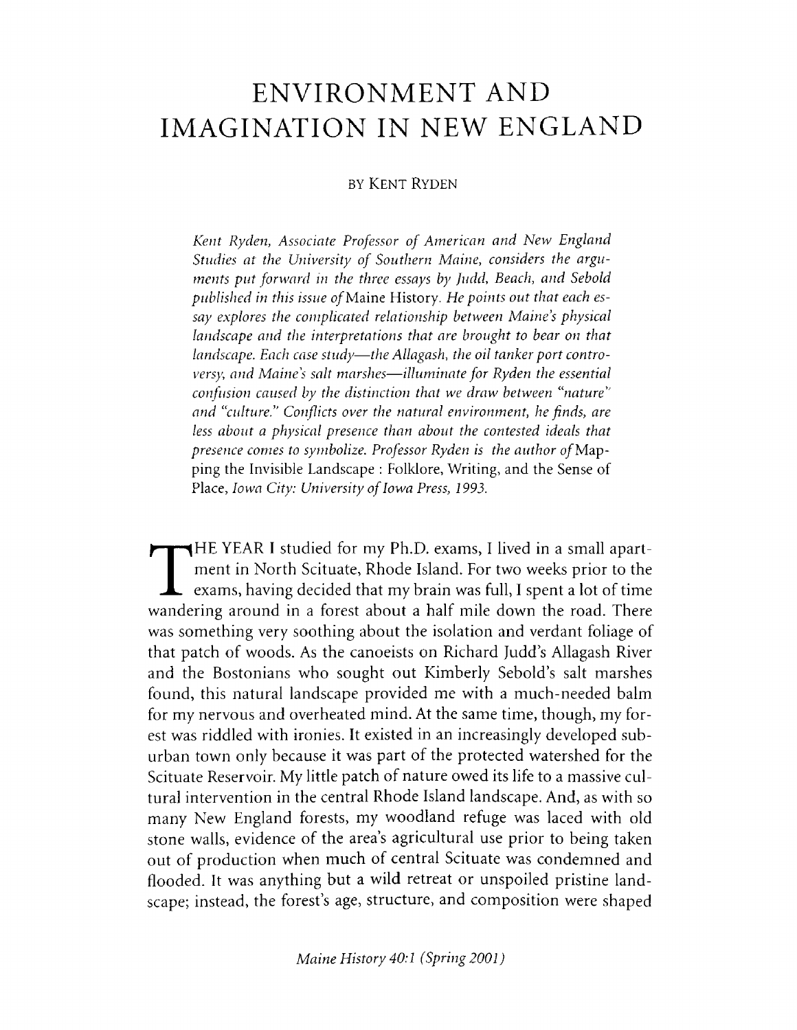# **ENVIRONMENT AND IMAGINATION IN NEW ENGLAND**

### by Kent Ryden

*Kent Ryden, Associate Professor of American and New England Studies at the University of Southern Maine, considers the arguments put forward in the three essays by Judd, Beach, and Sebold published in this issue of* Maine History. *He points out that each essay explores the complicated relationship between Maine's physical landscape and the interpretations that are brought to bear on that landscape. Each case study— the Allagash, the oil tanker port controversy, and Maine's salt marshes— illuminate for Ryden the essential confusion caused by the distinction that we draw between "nature and "culture.'1 Conflicts over the natural environment, he finds, are less about a physical presence than about the contested ideals that presence comes to symbolize. Professor Ryden is the author of* Mapping the Invisible Landscape : Folklore, Writing, and the Sense of Place, *Iowa City: University of Iowa Press, 1993.*

 $\prod$ <sub>wande:</sub> HE YEAR I studied for my Ph.D. exams, I lived in a small apartment in North Scituate, Rhode Island. For two weeks prior to the  $\mathsf{\mathsf{L}}\;$  exams, having decided that my brain was full, I spent a lot of time wandering around in a forest about a half mile down the road. There was something very soothing about the isolation and verdant foliage of that patch of woods. As the canoeists on Richard Judd's Allagash River and the Bostonians who sought out Kimberly Sebold's salt marshes found, this natural landscape provided me with a much-needed balm for my nervous and overheated mind. At the same time, though, my forest was riddled with ironies. It existed in an increasingly developed suburban town only because it was part of the protected watershed for the Scituate Reservoir. My little patch of nature owed its life to a massive cultural intervention in the central Rhode Island landscape. And, as with so many New England forests, my woodland refuge was laced with old stone walls, evidence of the area's agricultural use prior to being taken out of production when much of central Scituate was condemned and flooded. It was anything but a wild retreat or unspoiled pristine landscape; instead, the forest's age, structure, and composition were shaped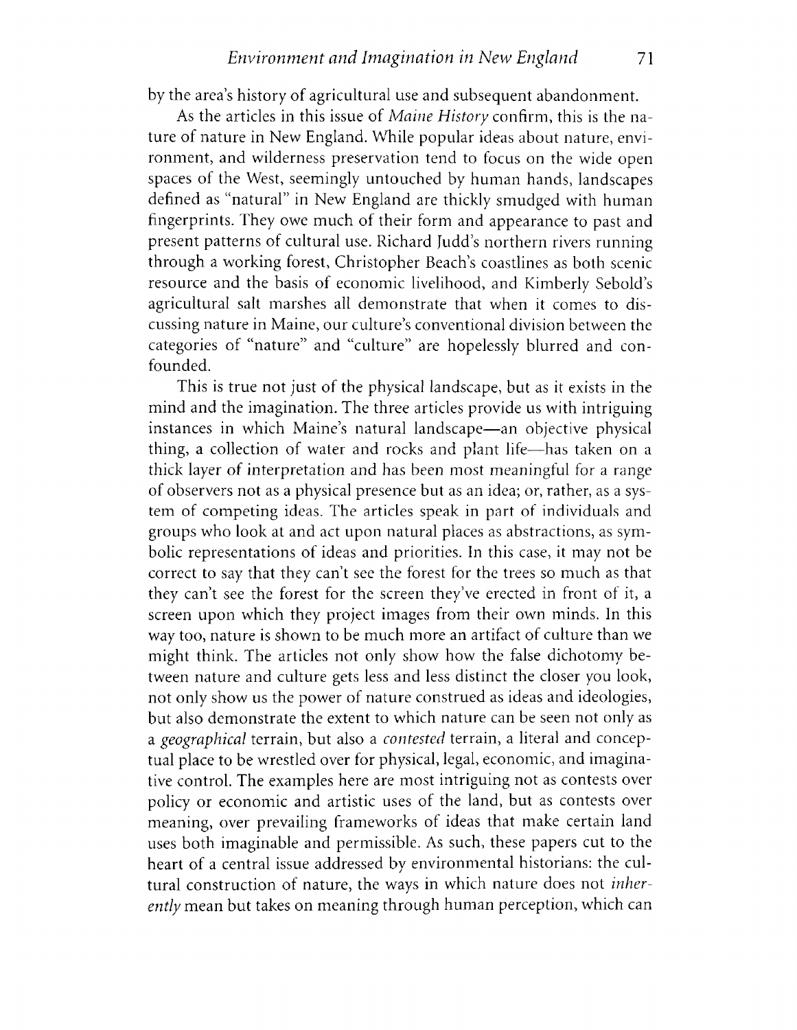by the area's history of agricultural use and subsequent abandonment.

As the articles in this issue of *Maine History* confirm, this is the nature of nature in New England. While popular ideas about nature, environment, and wilderness preservation tend to focus on the wide open spaces of the West, seemingly untouched by human hands, landscapes defined as "natural" in New England are thickly smudged with human fingerprints. They owe much of their form and appearance to past and present patterns of cultural use. Richard Judd's northern rivers running through a working forest, Christopher Beach's coastlines as both scenic resource and the basis of economic livelihood, and Kimberly Sebold's agricultural salt marshes all demonstrate that when it comes to discussing nature in Maine, our culture's conventional division between the categories of "nature" and "culture" are hopelessly blurred and confounded.

This is true not just of the physical landscape, but as it exists in the mind and the imagination. The three articles provide us with intriguing instances in which Maine's natural landscape—an objective physical thing, a collection of water and rocks and plant life—has taken on a thick layer of interpretation and has been most meaningful for a range of observers not as a physical presence but as an idea; or, rather, as a system of competing ideas. The articles speak in part of individuals and groups who look at and act upon natural places as abstractions, as symbolic representations of ideas and priorities. In this case, it may not be correct to say that they can't see the forest for the trees so much as that they can't see the forest for the screen they've erected in front of it, a screen upon which they project images from their own minds. In this way too, nature is shown to be much more an artifact of culture than we might think. The articles not only show how the false dichotomy between nature and culture gets less and less distinct the closer you look, not only show us the power of nature construed as ideas and ideologies, but also demonstrate the extent to which nature can be seen not only as a *geographical* terrain, but also a *contested* terrain, a literal and conceptual place to be wrestled over for physical, legal, economic, and imaginative control. The examples here are most intriguing not as contests over policy or economic and artistic uses of the land, but as contests over meaning, over prevailing frameworks of ideas that make certain land uses both imaginable and permissible. As such, these papers cut to the heart of a central issue addressed by environmental historians: the cultural construction of nature, the ways in which nature does not *inherently* mean but takes on meaning through human perception, which can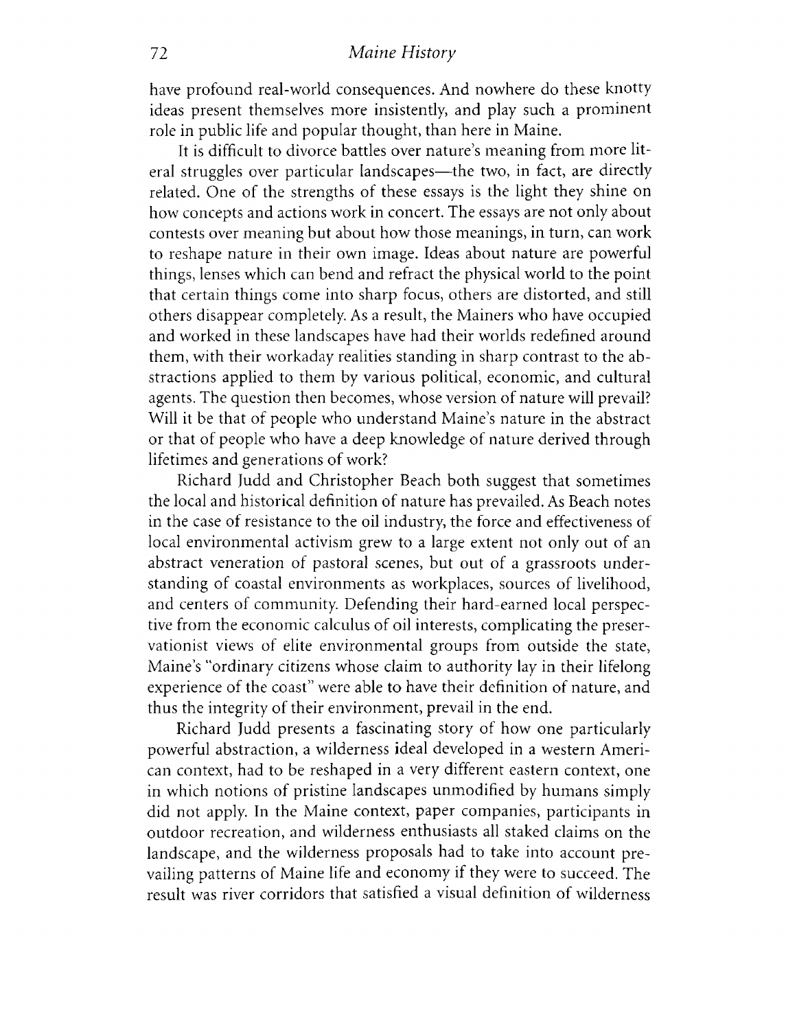### 72 *Maine History*

have profound real-world consequences. And nowhere do these knotty ideas present themselves more insistently, and play such a prominent role in public life and popular thought, than here in Maine.

It is difficult to divorce battles over nature's meaning from more literal struggles over particular landscapes—the two, in fact, are directly related. One of the strengths of these essays is the light they shine on how concepts and actions work in concert. The essays are not only about contests over meaning but about how those meanings, in turn, can work to reshape nature in their own image. Ideas about nature are powerful things, lenses which can bend and refract the physical world to the point that certain things come into sharp focus, others are distorted, and still others disappear completely As a result, the Mainers who have occupied and worked in these landscapes have had their worlds redefined around them, with their workaday realities standing in sharp contrast to the abstractions applied to them by various political, economic, and cultural agents. The question then becomes, whose version of nature will prevail? Will it be that of people who understand Maine's nature in the abstract or that of people who have a deep knowledge of nature derived through lifetimes and generations of work?

Richard Judd and Christopher Beach both suggest that sometimes the local and historical definition of nature has prevailed. As Beach notes in the case of resistance to the oil industry, the force and effectiveness of local environmental activism grew to a large extent not only out of an abstract veneration of pastoral scenes, but out of a grassroots understanding of coastal environments as workplaces, sources of livelihood, and centers of community. Defending their hard-earned local perspective from the economic calculus of oil interests, complicating the preservationist views of elite environmental groups from outside the state, Maine's "ordinary citizens whose claim to authority lay in their lifelong experience of the coast" were able to have their definition of nature, and thus the integrity of their environment, prevail in the end.

Richard Judd presents a fascinating story of how one particularly powerful abstraction, a wilderness ideal developed in a western American context, had to be reshaped in a very different eastern context, one in which notions of pristine landscapes unmodified by humans simply did not apply. In the Maine context, paper companies, participants in outdoor recreation, and wilderness enthusiasts all staked claims on the landscape, and the wilderness proposals had to take into account prevailing patterns of Maine life and economy if they were to succeed. The result was river corridors that satisfied a visual definition of wilderness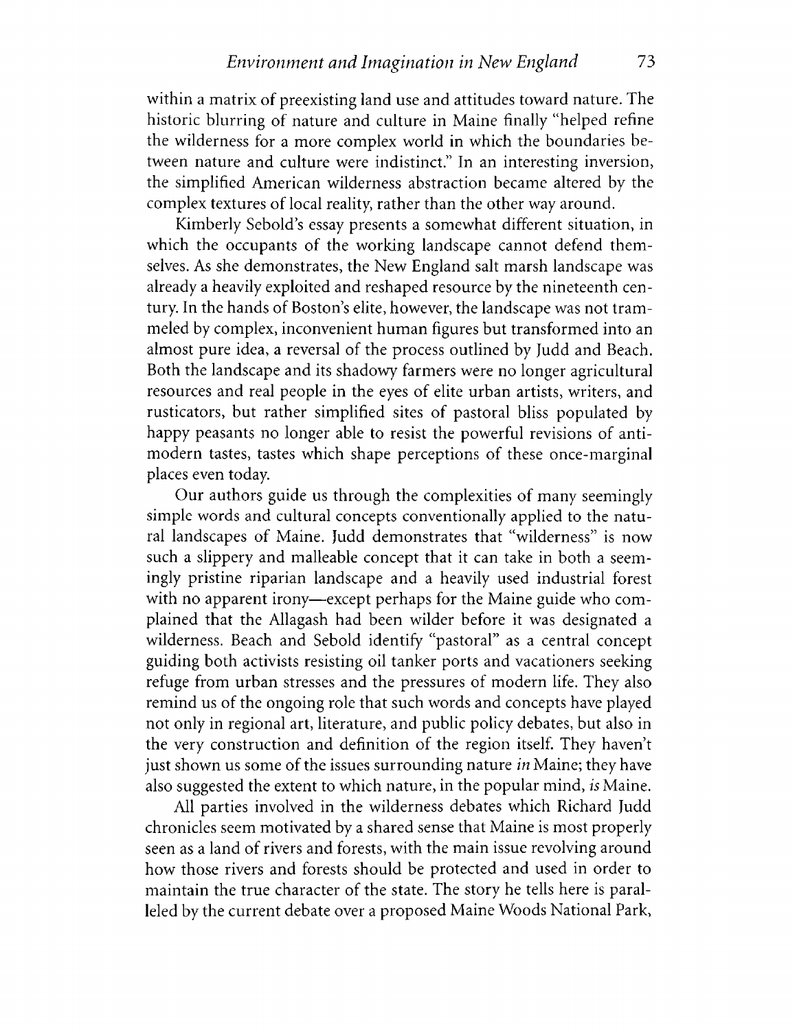within a matrix of preexisting land use and attitudes toward nature. The historic blurring of nature and culture in Maine finally "helped refine the wilderness for a more complex world in which the boundaries between nature and culture were indistinct." In an interesting inversion, the simplified American wilderness abstraction became altered by the complex textures of local reality, rather than the other way around.

Kimberly Sebold's essay presents a somewhat different situation, in which the occupants of the working landscape cannot defend themselves. As she demonstrates, the New England salt marsh landscape was already a heavily exploited and reshaped resource by the nineteenth century. In the hands of Boston's elite, however, the landscape was not trammeled by complex, inconvenient human figures but transformed into an almost pure idea, a reversal of the process outlined by Judd and Beach. Both the landscape and its shadowy farmers were no longer agricultural resources and real people in the eyes of elite urban artists, writers, and rusticators, but rather simplified sites of pastoral bliss populated by happy peasants no longer able to resist the powerful revisions of antimodern tastes, tastes which shape perceptions of these once-marginal places even today.

Our authors guide us through the complexities of many seemingly simple words and cultural concepts conventionally applied to the natural landscapes of Maine. Judd demonstrates that "wilderness" is now such a slippery and malleable concept that it can take in both a seemingly pristine riparian landscape and a heavily used industrial forest with no apparent irony—except perhaps for the Maine guide who complained that the Allagash had been wilder before it was designated a wilderness. Beach and Sebold identify "pastoral" as a central concept guiding both activists resisting oil tanker ports and vacationers seeking refuge from urban stresses and the pressures of modern life. They also remind us of the ongoing role that such words and concepts have played not only in regional art, literature, and public policy debates, but also in the very construction and definition of the region itself. They haven't just shown us some of the issues surrounding nature *in* Maine; they have also suggested the extent to which nature, in the popular mind, *is* Maine.

All parties involved in the wilderness debates which Richard Judd chronicles seem motivated by a shared sense that Maine is most properly seen as a land of rivers and forests, with the main issue revolving around how those rivers and forests should be protected and used in order to maintain the true character of the state. The story he tells here is paralleled by the current debate over a proposed Maine Woods National Park,